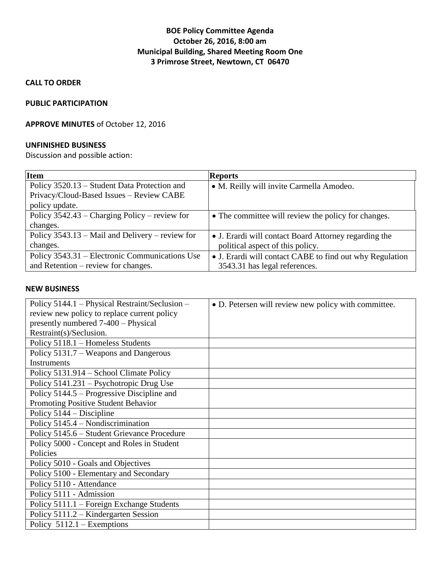# **BOE Policy Committee Agenda October 26, 2016, 8:00 am Municipal Building, Shared Meeting Room One 3 Primrose Street, Newtown, CT 06470**

**CALL TO ORDER**

### **PUBLIC PARTICIPATION**

### **APPROVE MINUTES** of October 12, 2016

### **UNFINISHED BUSINESS**

Discussion and possible action:

| Item                                              | <b>Reports</b>                                           |
|---------------------------------------------------|----------------------------------------------------------|
| Policy 3520.13 – Student Data Protection and      | • M. Reilly will invite Carmella Amodeo.                 |
| Privacy/Cloud-Based Issues - Review CABE          |                                                          |
| policy update.                                    |                                                          |
| Policy $3542.43$ – Charging Policy – review for   | • The committee will review the policy for changes.      |
| changes.                                          |                                                          |
| Policy $3543.13$ – Mail and Delivery – review for | • J. Erardi will contact Board Attorney regarding the    |
| changes.                                          | political aspect of this policy.                         |
| Policy 3543.31 – Electronic Communications Use    | • J. Erardi will contact CABE to find out why Regulation |
| and Retention – review for changes.               | 3543.31 has legal references.                            |

#### **NEW BUSINESS**

| Policy 5144.1 – Physical Restraint/Seclusion – | • D. Petersen will review new policy with committee. |
|------------------------------------------------|------------------------------------------------------|
| review new policy to replace current policy    |                                                      |
| presently numbered 7-400 - Physical            |                                                      |
| Restraint(s)/Seclusion.                        |                                                      |
| Policy 5118.1 - Homeless Students              |                                                      |
| Policy 5131.7 – Weapons and Dangerous          |                                                      |
| <b>Instruments</b>                             |                                                      |
| Policy 5131.914 – School Climate Policy        |                                                      |
| Policy 5141.231 – Psychotropic Drug Use        |                                                      |
| Policy 5144.5 – Progressive Discipline and     |                                                      |
| Promoting Positive Student Behavior            |                                                      |
| Policy 5144 – Discipline                       |                                                      |
| Policy 5145.4 – Nondiscrimination              |                                                      |
| Policy 5145.6 – Student Grievance Procedure    |                                                      |
| Policy 5000 - Concept and Roles in Student     |                                                      |
| Policies                                       |                                                      |
| Policy 5010 - Goals and Objectives             |                                                      |
| Policy 5100 - Elementary and Secondary         |                                                      |
| Policy 5110 - Attendance                       |                                                      |
| Policy 5111 - Admission                        |                                                      |
| Policy 5111.1 – Foreign Exchange Students      |                                                      |
| Policy 5111.2 – Kindergarten Session           |                                                      |
| Policy $5112.1$ – Exemptions                   |                                                      |